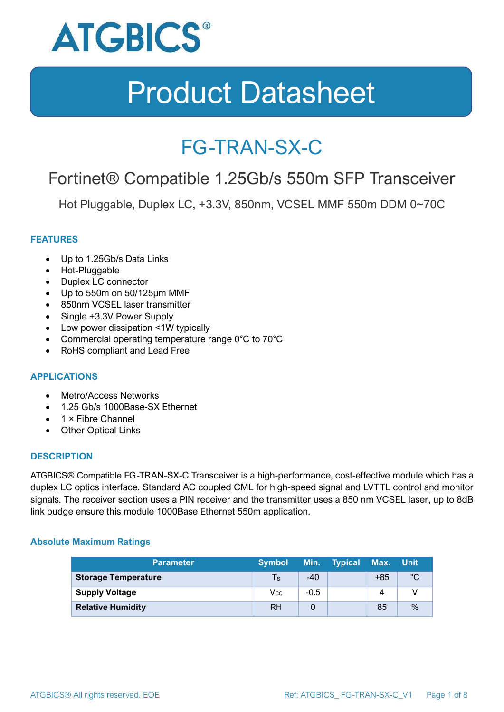

### FG-TRAN-SX-C

### Fortinet® Compatible 1.25Gb/s 550m SFP Transceiver

Hot Pluggable, Duplex LC, +3.3V, 850nm, VCSEL MMF 550m DDM 0~70C

#### **FEATURES**

- Up to 1.25Gb/s Data Links
- Hot-Pluggable
- Duplex LC connector
- Up to 550m on 50/125μm MMF
- 850nm VCSEL laser transmitter
- Single +3.3V Power Supply
- Low power dissipation <1W typically
- Commercial operating temperature range 0°C to 70°C
- RoHS compliant and Lead Free

#### **APPLICATIONS**

- Metro/Access Networks
- 1.25 Gb/s 1000Base-SX Ethernet
- 1 × Fibre Channel
- Other Optical Links

#### **DESCRIPTION**

ATGBICS® Compatible FG-TRAN-SX-C Transceiver is a high-performance, cost-effective module which has a duplex LC optics interface. Standard AC coupled CML for high-speed signal and LVTTL control and monitor signals. The receiver section uses a PIN receiver and the transmitter uses a 850 nm VCSEL laser, up to 8dB link budge ensure this module 1000Base Ethernet 550m application.

#### **Absolute Maximum Ratings**

| <b>Parameter</b>           | <b>Symbol</b> |        | Min. Typical | Max. Unit |      |
|----------------------------|---------------|--------|--------------|-----------|------|
| <b>Storage Temperature</b> | $\mathsf{Ts}$ | $-40$  |              | $+85$     | °C   |
| <b>Supply Voltage</b>      | Vcc           | $-0.5$ |              | 4         |      |
| <b>Relative Humidity</b>   | <b>RH</b>     |        |              | 85        | $\%$ |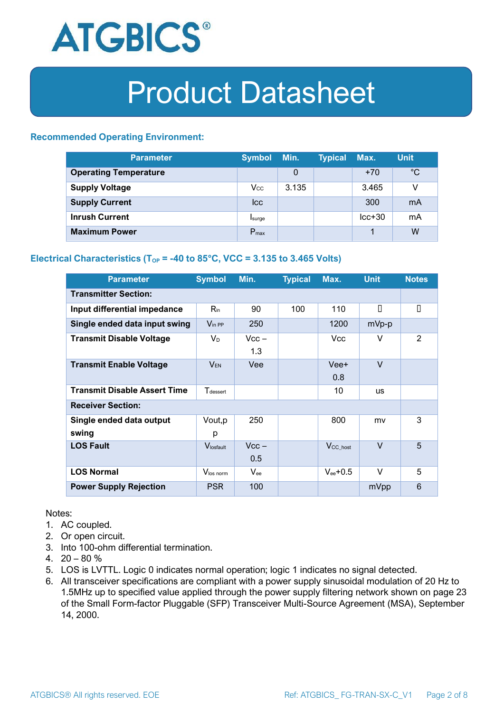

#### **Recommended Operating Environment:**

| <b>Parameter</b>             | <b>Symbol</b>    | Min.  | <b>Typical</b> | Max.     | <b>Unit</b> |
|------------------------------|------------------|-------|----------------|----------|-------------|
| <b>Operating Temperature</b> |                  | 0     |                | $+70$    | $^{\circ}C$ |
| <b>Supply Voltage</b>        | $V_{\rm CC}$     | 3.135 |                | 3.465    | v           |
| <b>Supply Current</b>        | <b>Icc</b>       |       |                | 300      | mA          |
| <b>Inrush Current</b>        | Isurge           |       |                | $lcc+30$ | mA          |
| <b>Maximum Power</b>         | $P_{\text{max}}$ |       |                |          | W           |

#### **Electrical Characteristics** ( $T_{OP}$  = -40 to 85°C, VCC = 3.135 to 3.465 Volts)

| <b>Parameter</b>                    | <b>Symbol</b>         | Min.           | <b>Typical</b> | Max.                 | <b>Unit</b> | <b>Notes</b> |  |
|-------------------------------------|-----------------------|----------------|----------------|----------------------|-------------|--------------|--|
| <b>Transmitter Section:</b>         |                       |                |                |                      |             |              |  |
| Input differential impedance        | $R_{\rm in}$          | 90             | 100            | 110                  | П           | П            |  |
| Single ended data input swing       | $V_{\text{in PP}}$    | 250            |                | 1200                 | mVp-p       |              |  |
| <b>Transmit Disable Voltage</b>     | $V_D$                 | $Vcc -$<br>1.3 |                | Vcc.                 | V           | 2            |  |
| <b>Transmit Enable Voltage</b>      | <b>VEN</b>            | Vee            |                | Vee+<br>0.8          | $\vee$      |              |  |
| <b>Transmit Disable Assert Time</b> | $T_{\rm dessert}$     |                |                | 10                   | <b>us</b>   |              |  |
| <b>Receiver Section:</b>            |                       |                |                |                      |             |              |  |
| Single ended data output<br>swing   | Vout, p<br>р          | 250            |                | 800                  | mv          | 3            |  |
| <b>LOS Fault</b>                    | $V_{\text{losfault}}$ | $Vcc -$<br>0.5 |                | V <sub>CC_host</sub> | $\vee$      | 5            |  |
| <b>LOS Normal</b>                   | Vlos norm             | $V_{ee}$       |                | $V_{ee}$ +0.5        | $\vee$      | 5            |  |
| <b>Power Supply Rejection</b>       | <b>PSR</b>            | 100            |                |                      | mVpp        | 6            |  |

Notes:

- 1. AC coupled.
- 2. Or open circuit.
- 3. Into 100-ohm differential termination.
- 4.  $20 80 \%$
- 5. LOS is LVTTL. Logic 0 indicates normal operation; logic 1 indicates no signal detected.
- 6. All transceiver specifications are compliant with a power supply sinusoidal modulation of 20 Hz to 1.5MHz up to specified value applied through the power supply filtering network shown on page 23 of the Small Form-factor Pluggable (SFP) Transceiver Multi-Source Agreement (MSA), September 14, 2000.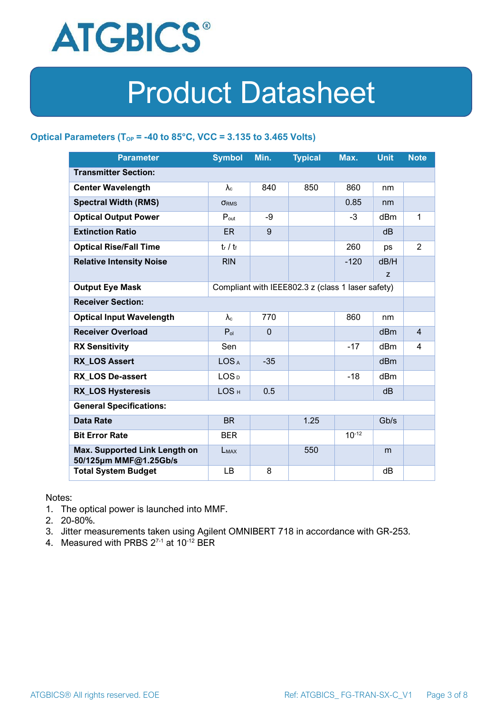

#### **Optical Parameters** ( $T_{OP}$  = -40 to 85°C, VCC = 3.135 to 3.465 Volts)

| <b>Parameter</b>                                                            | <b>Symbol</b>     | Min.         | <b>Typical</b> | Max.       | <b>Unit</b>     | <b>Note</b>    |
|-----------------------------------------------------------------------------|-------------------|--------------|----------------|------------|-----------------|----------------|
| <b>Transmitter Section:</b>                                                 |                   |              |                |            |                 |                |
| <b>Center Wavelength</b>                                                    | $\lambda_c$       | 840          | 850            | 860        | nm              |                |
| <b>Spectral Width (RMS)</b>                                                 | <b>ORMS</b>       |              |                | 0.85       | nm              |                |
| <b>Optical Output Power</b>                                                 | $P_{\text{out}}$  | -9           |                | $-3$       | dBm             | 1              |
| <b>Extinction Ratio</b>                                                     | <b>ER</b>         | 9            |                |            | dB              |                |
| <b>Optical Rise/Fall Time</b>                                               | $t_r / t_f$       |              |                | 260        | ps              | $\overline{2}$ |
| <b>Relative Intensity Noise</b>                                             | <b>RIN</b>        |              |                | $-120$     | dB/H            |                |
|                                                                             |                   |              |                |            | Z               |                |
| <b>Output Eye Mask</b><br>Compliant with IEEE802.3 z (class 1 laser safety) |                   |              |                |            |                 |                |
| <b>Receiver Section:</b>                                                    |                   |              |                |            |                 |                |
| <b>Optical Input Wavelength</b>                                             | $\lambda_{\rm c}$ | 770          |                | 860        | nm              |                |
| <b>Receiver Overload</b>                                                    | $P_{ol}$          | $\mathbf{0}$ |                |            | dBm             | $\overline{4}$ |
| <b>RX Sensitivity</b>                                                       | Sen               |              |                | $-17$      | dBm             | 4              |
| <b>RX LOS Assert</b>                                                        | LOS <sub>A</sub>  | $-35$        |                |            | d <sub>Bm</sub> |                |
| <b>RX LOS De-assert</b>                                                     | LOS <sub>D</sub>  |              |                | -18        | dB <sub>m</sub> |                |
| <b>RX_LOS Hysteresis</b>                                                    | LOS <sub>H</sub>  | 0.5          |                |            | d <sub>B</sub>  |                |
| <b>General Specifications:</b>                                              |                   |              |                |            |                 |                |
| <b>Data Rate</b>                                                            | <b>BR</b>         |              | 1.25           |            | Gb/s            |                |
| <b>Bit Error Rate</b>                                                       | <b>BER</b>        |              |                | $10^{-12}$ |                 |                |
| Max. Supported Link Length on<br>50/125µm MMF@1.25Gb/s                      | LMAX              |              | 550            |            | m               |                |
| <b>Total System Budget</b>                                                  | LB                | 8            |                |            | dB              |                |

Notes:

- 1. The optical power is launched into MMF.
- 2. 20-80%.
- 3. Jitter measurements taken using Agilent OMNIBERT 718 in accordance with GR-253.
- 4. Measured with PRBS  $2^{7-1}$  at 10<sup>-12</sup> BER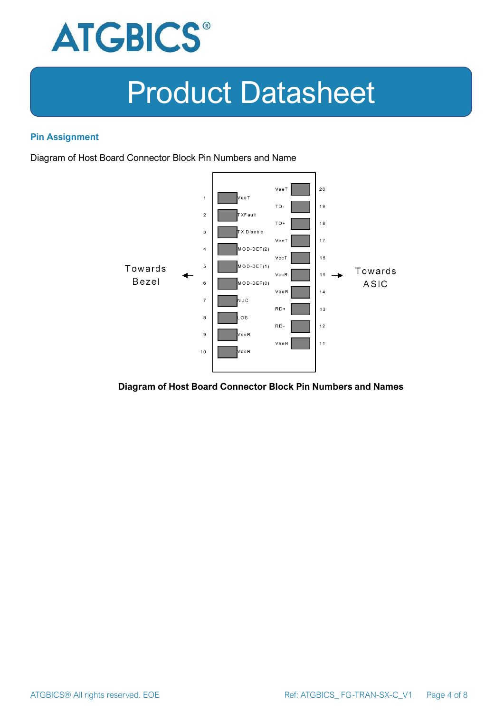

#### **Pin Assignment**

Diagram of Host Board Connector Block Pin Numbers and Name



#### **Diagram of Host Board Connector Block Pin Numbers and Names**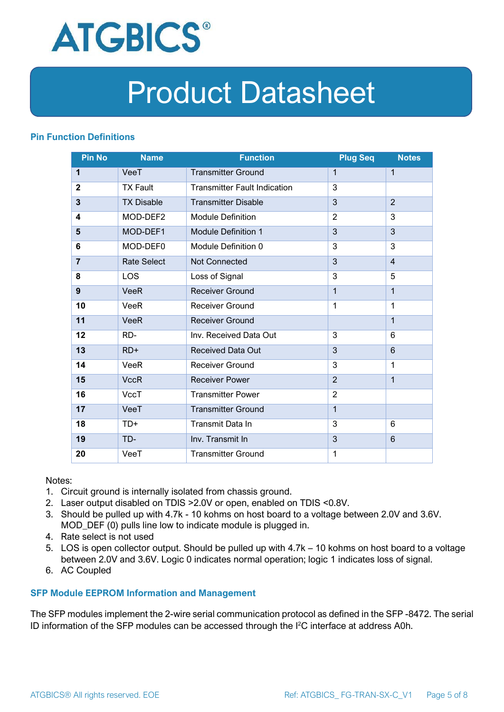

#### **Pin Function Definitions**

| <b>Pin No</b>  | <b>Name</b>        | <b>Function</b>                     | <b>Plug Seq</b> | <b>Notes</b>   |
|----------------|--------------------|-------------------------------------|-----------------|----------------|
| 1              | VeeT               | <b>Transmitter Ground</b>           | 1               | $\mathbf 1$    |
| $\mathbf 2$    | <b>TX Fault</b>    | <b>Transmitter Fault Indication</b> | 3               |                |
| 3              | <b>TX Disable</b>  | <b>Transmitter Disable</b>          | 3               | $\overline{2}$ |
| 4              | MOD-DEF2           | <b>Module Definition</b>            | $\overline{2}$  | 3              |
| 5              | MOD-DEF1           | <b>Module Definition 1</b>          | 3               | 3              |
| 6              | MOD-DEF0           | Module Definition 0                 | 3               | 3              |
| $\overline{7}$ | <b>Rate Select</b> | Not Connected                       | 3               | $\overline{4}$ |
| 8              | <b>LOS</b>         | Loss of Signal                      | 3               | 5              |
| 9              | <b>VeeR</b>        | <b>Receiver Ground</b>              | $\mathbf 1$     | $\mathbf{1}$   |
| 10             | VeeR               | Receiver Ground                     | $\mathbf{1}$    | $\mathbf 1$    |
| 11             | <b>VeeR</b>        | <b>Receiver Ground</b>              |                 | $\mathbf{1}$   |
| 12             | RD-                | Inv. Received Data Out              | 3               | 6              |
| 13             | $RD+$              | <b>Received Data Out</b>            | 3               | 6              |
| 14             | VeeR               | <b>Receiver Ground</b>              | 3               | 1              |
| 15             | <b>VccR</b>        | <b>Receiver Power</b>               | $\overline{2}$  | $\mathbf{1}$   |
| 16             | <b>VccT</b>        | <b>Transmitter Power</b>            | $\overline{2}$  |                |
| 17             | VeeT               | <b>Transmitter Ground</b>           | $\mathbf{1}$    |                |
| 18             | TD+                | Transmit Data In                    | 3               | 6              |
| 19             | TD-                | Inv. Transmit In                    | 3               | 6              |
| 20             | VeeT               | <b>Transmitter Ground</b>           | 1               |                |

Notes:

- 1. Circuit ground is internally isolated from chassis ground.
- 2. Laser output disabled on TDIS >2.0V or open, enabled on TDIS <0.8V.
- 3. Should be pulled up with 4.7k 10 kohms on host board to a voltage between 2.0V and 3.6V. MOD\_DEF (0) pulls line low to indicate module is plugged in.
- 4. Rate select is not used
- 5. LOS is open collector output. Should be pulled up with 4.7k 10 kohms on host board to a voltage between 2.0V and 3.6V. Logic 0 indicates normal operation; logic 1 indicates loss of signal.
- 6. AC Coupled

#### **SFP Module EEPROM Information and Management**

The SFP modules implement the 2-wire serial communication protocol as defined in the SFP -8472. The serial ID information of the SFP modules can be accessed through the I2C interface at address A0h.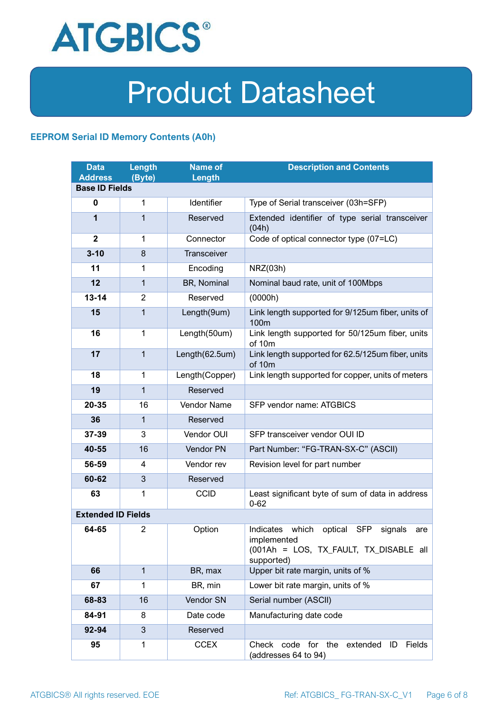

#### **EEPROM Serial ID Memory Contents (A0h)**

| <b>Data</b><br><b>Address</b> | <b>Length</b><br>(Byte) | <b>Name of</b><br>Length | <b>Description and Contents</b>                                                                                         |  |  |
|-------------------------------|-------------------------|--------------------------|-------------------------------------------------------------------------------------------------------------------------|--|--|
| <b>Base ID Fields</b>         |                         |                          |                                                                                                                         |  |  |
| $\bf{0}$                      | $\mathbf{1}$            | Identifier               | Type of Serial transceiver (03h=SFP)                                                                                    |  |  |
| 1                             | 1                       | Reserved                 | Extended identifier of type serial transceiver<br>(04h)                                                                 |  |  |
| $\mathbf{2}$                  | $\mathbf{1}$            | Connector                | Code of optical connector type (07=LC)                                                                                  |  |  |
| $3 - 10$                      | 8                       | Transceiver              |                                                                                                                         |  |  |
| 11                            | 1                       | Encoding                 | NRZ(03h)                                                                                                                |  |  |
| 12                            | $\mathbf{1}$            | BR, Nominal              | Nominal baud rate, unit of 100Mbps                                                                                      |  |  |
| $13 - 14$                     | $\overline{2}$          | Reserved                 | (0000h)                                                                                                                 |  |  |
| 15                            | $\mathbf{1}$            | Length(9um)              | Link length supported for 9/125um fiber, units of<br>100 <sub>m</sub>                                                   |  |  |
| 16                            | $\mathbf{1}$            | Length(50um)             | Link length supported for 50/125um fiber, units<br>of 10m                                                               |  |  |
| 17                            | $\mathbf{1}$            | Length(62.5um)           | Link length supported for 62.5/125um fiber, units<br>of 10m                                                             |  |  |
| 18                            | $\mathbf{1}$            | Length(Copper)           | Link length supported for copper, units of meters                                                                       |  |  |
| 19                            | $\mathbf{1}$            | Reserved                 |                                                                                                                         |  |  |
| 20-35                         | 16                      | Vendor Name              | SFP vendor name: ATGBICS                                                                                                |  |  |
| 36                            | 1                       | Reserved                 |                                                                                                                         |  |  |
| 37-39                         | 3                       | Vendor OUI               | SFP transceiver vendor OUI ID                                                                                           |  |  |
| 40-55                         | 16                      | Vendor PN                | Part Number: "FG-TRAN-SX-C" (ASCII)                                                                                     |  |  |
| 56-59                         | 4                       | Vendor rev               | Revision level for part number                                                                                          |  |  |
| 60-62                         | 3                       | Reserved                 |                                                                                                                         |  |  |
| 63                            | 1                       | <b>CCID</b>              | Least significant byte of sum of data in address<br>$0 - 62$                                                            |  |  |
| <b>Extended ID Fields</b>     |                         |                          |                                                                                                                         |  |  |
| 64-65                         | 2                       | Option                   | Indicates which<br>optical SFP<br>signals<br>are<br>implemented<br>(001Ah = LOS, TX_FAULT, TX_DISABLE all<br>supported) |  |  |
| 66                            | $\mathbf{1}$            | BR, max                  | Upper bit rate margin, units of %                                                                                       |  |  |
| 67                            | $\mathbf{1}$            | BR, min                  | Lower bit rate margin, units of %                                                                                       |  |  |
| 68-83                         | 16                      | Vendor SN                | Serial number (ASCII)                                                                                                   |  |  |
| 84-91                         | 8                       | Date code                | Manufacturing date code                                                                                                 |  |  |
| 92-94                         | 3                       | Reserved                 |                                                                                                                         |  |  |
| 95                            | 1                       | <b>CCEX</b>              | Check code for the<br>Fields<br>extended<br>ID<br>(addresses 64 to 94)                                                  |  |  |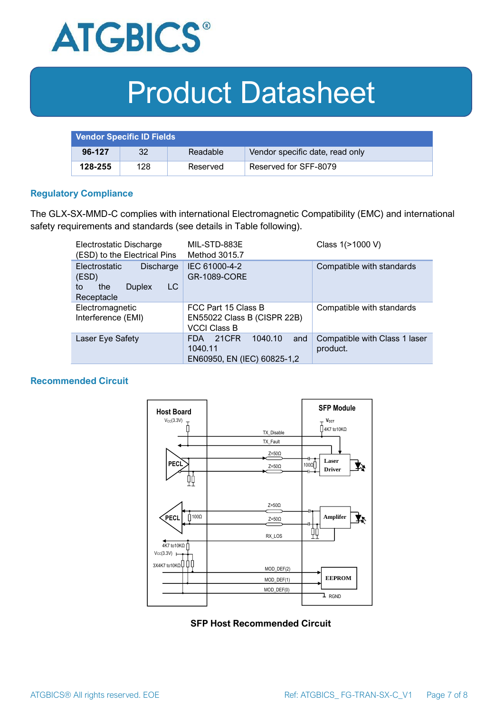

| <b>Vendor Specific ID Fields</b> |     |          |                                 |
|----------------------------------|-----|----------|---------------------------------|
| 96-127                           | 32  | Readable | Vendor specific date, read only |
| 128-255                          | 128 | Reserved | Reserved for SFF-8079           |

#### **Regulatory Compliance**

The GLX-SX-MMD-C complies with international Electromagnetic Compatibility (EMC) and international safety requirements and standards (see details in Table following).

| Electrostatic Discharge<br>(ESD) to the Electrical Pins                                      | MIL-STD-883E<br>Method 3015.7                                                   | Class 1(>1000 V)                          |  |
|----------------------------------------------------------------------------------------------|---------------------------------------------------------------------------------|-------------------------------------------|--|
| <b>Electrostatic</b><br>Discharge<br>(ESD)<br>LC<br>the<br><b>Duplex</b><br>to<br>Receptacle | IEC 61000-4-2<br><b>GR-1089-CORE</b>                                            | Compatible with standards                 |  |
| Electromagnetic<br>Interference (EMI)                                                        | FCC Part 15 Class B<br>EN55022 Class B (CISPR 22B)<br><b>VCCI Class B</b>       | Compatible with standards                 |  |
| Laser Eye Safety                                                                             | 1040.10<br>21CFR<br>and<br><b>FDA</b><br>1040.11<br>EN60950, EN (IEC) 60825-1,2 | Compatible with Class 1 laser<br>product. |  |

#### **Recommended Circuit**



**SFP Host Recommended Circuit**